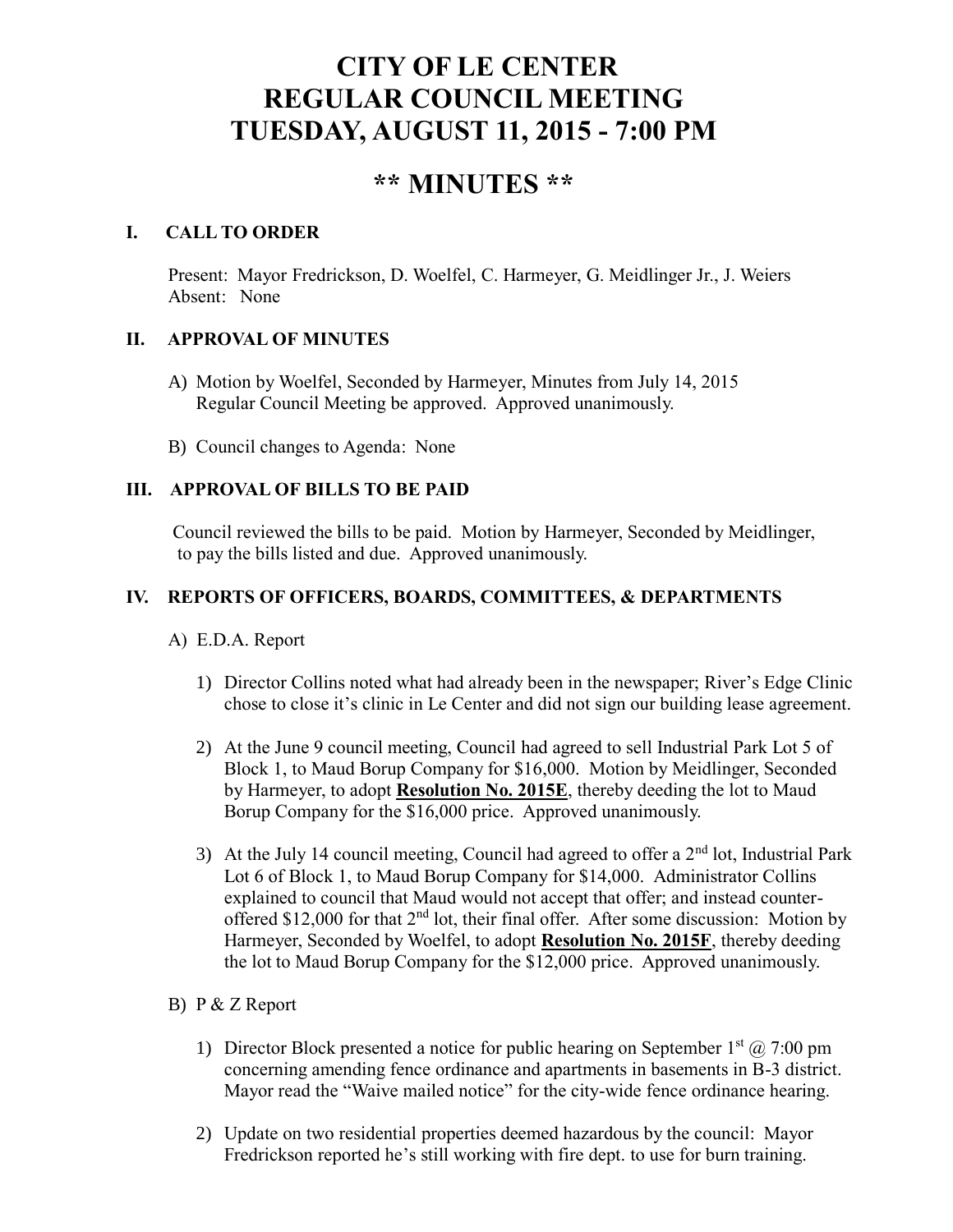# **CITY OF LE CENTER REGULAR COUNCIL MEETING TUESDAY, AUGUST 11, 2015 - 7:00 PM**

# **\*\* MINUTES \*\***

# **I. CALL TO ORDER**

Present: Mayor Fredrickson, D. Woelfel, C. Harmeyer, G. Meidlinger Jr., J. Weiers Absent: None

# **II. APPROVAL OF MINUTES**

- A) Motion by Woelfel, Seconded by Harmeyer, Minutes from July 14, 2015 Regular Council Meeting be approved. Approved unanimously.
- B) Council changes to Agenda: None

# **III. APPROVAL OF BILLS TO BE PAID**

Council reviewed the bills to be paid. Motion by Harmeyer, Seconded by Meidlinger, to pay the bills listed and due. Approved unanimously.

# **IV. REPORTS OF OFFICERS, BOARDS, COMMITTEES, & DEPARTMENTS**

- A) E.D.A. Report
	- 1) Director Collins noted what had already been in the newspaper; River's Edge Clinic chose to close it's clinic in Le Center and did not sign our building lease agreement.
	- 2) At the June 9 council meeting, Council had agreed to sell Industrial Park Lot 5 of Block 1, to Maud Borup Company for \$16,000. Motion by Meidlinger, Seconded by Harmeyer, to adopt **Resolution No. 2015E**, thereby deeding the lot to Maud Borup Company for the \$16,000 price. Approved unanimously.
	- 3) At the July 14 council meeting, Council had agreed to offer a  $2<sup>nd</sup>$  lot, Industrial Park Lot 6 of Block 1, to Maud Borup Company for \$14,000. Administrator Collins explained to council that Maud would not accept that offer; and instead counteroffered \$12,000 for that  $2<sup>nd</sup>$  lot, their final offer. After some discussion: Motion by Harmeyer, Seconded by Woelfel, to adopt **Resolution No. 2015F**, thereby deeding the lot to Maud Borup Company for the \$12,000 price. Approved unanimously.
- B) P & Z Report
	- 1) Director Block presented a notice for public hearing on September  $1<sup>st</sup>$  ( $\hat{\omega}$  7:00 pm concerning amending fence ordinance and apartments in basements in B-3 district. Mayor read the "Waive mailed notice" for the city-wide fence ordinance hearing.
	- 2) Update on two residential properties deemed hazardous by the council: Mayor Fredrickson reported he's still working with fire dept. to use for burn training.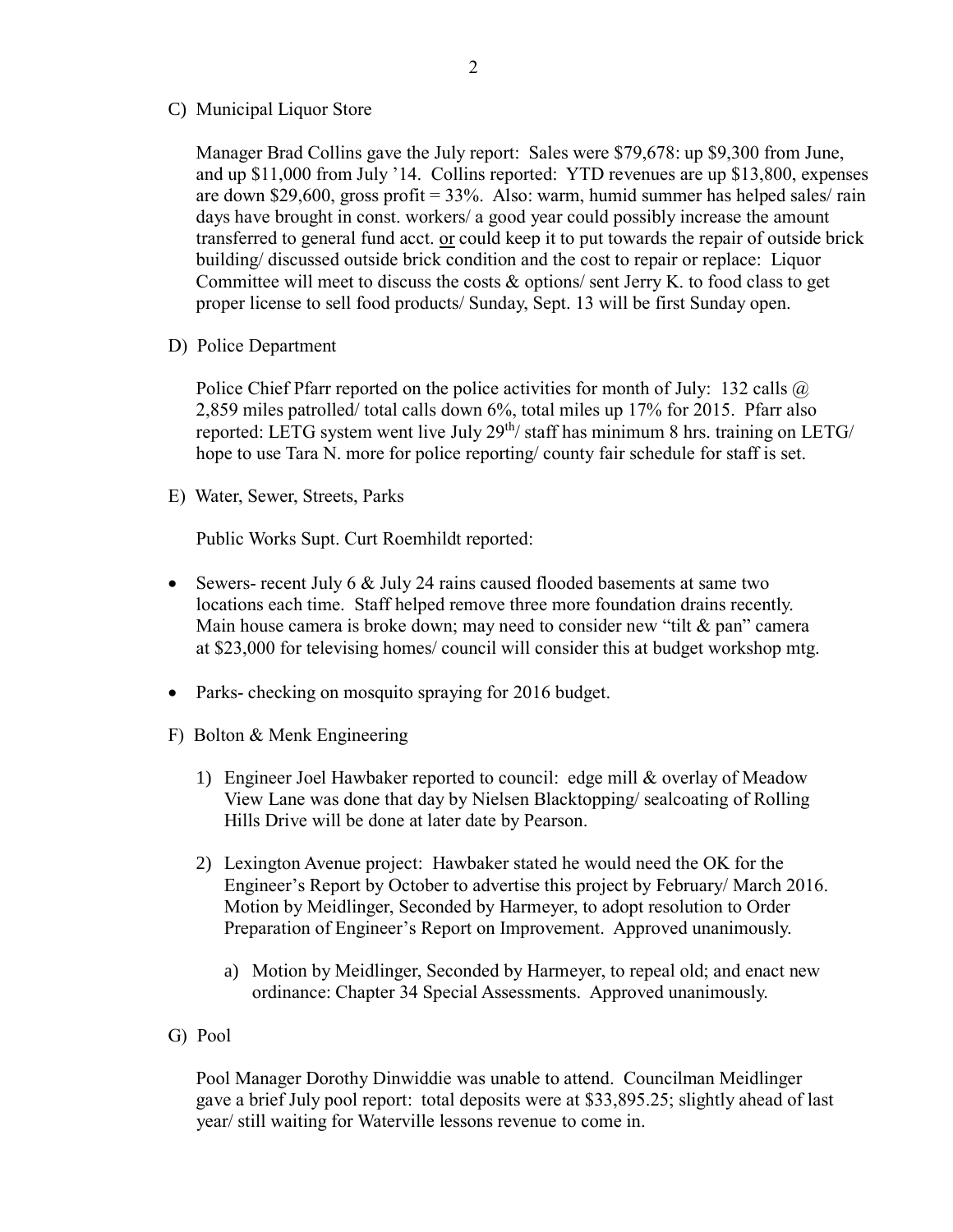C) Municipal Liquor Store

Manager Brad Collins gave the July report: Sales were \$79,678: up \$9,300 from June, and up \$11,000 from July '14. Collins reported: YTD revenues are up \$13,800, expenses are down \$29,600, gross profit =  $33\%$ . Also: warm, humid summer has helped sales/ rain days have brought in const. workers/ a good year could possibly increase the amount transferred to general fund acct. or could keep it to put towards the repair of outside brick building/ discussed outside brick condition and the cost to repair or replace: Liquor Committee will meet to discuss the costs  $\&$  options/ sent Jerry K, to food class to get proper license to sell food products/ Sunday, Sept. 13 will be first Sunday open.

D) Police Department

Police Chief Pfarr reported on the police activities for month of July: 132 calls @ 2,859 miles patrolled/ total calls down 6%, total miles up 17% for 2015. Pfarr also reported: LETG system went live July  $29<sup>th</sup>$  staff has minimum 8 hrs. training on LETG/ hope to use Tara N. more for police reporting/ county fair schedule for staff is set.

E) Water, Sewer, Streets, Parks

Public Works Supt. Curt Roemhildt reported:

- Sewers- recent July 6 & July 24 rains caused flooded basements at same two locations each time. Staff helped remove three more foundation drains recently. Main house camera is broke down; may need to consider new "tilt  $\&$  pan" camera at \$23,000 for televising homes/ council will consider this at budget workshop mtg.
- Parks- checking on mosquito spraying for 2016 budget.
- F) Bolton & Menk Engineering
	- 1) Engineer Joel Hawbaker reported to council: edge mill & overlay of Meadow View Lane was done that day by Nielsen Blacktopping/ sealcoating of Rolling Hills Drive will be done at later date by Pearson.
	- 2) Lexington Avenue project: Hawbaker stated he would need the OK for the Engineer's Report by October to advertise this project by February/ March 2016. Motion by Meidlinger, Seconded by Harmeyer, to adopt resolution to Order Preparation of Engineer's Report on Improvement. Approved unanimously.
		- a) Motion by Meidlinger, Seconded by Harmeyer, to repeal old; and enact new ordinance: Chapter 34 Special Assessments. Approved unanimously.
- G) Pool

 Pool Manager Dorothy Dinwiddie was unable to attend. Councilman Meidlinger gave a brief July pool report: total deposits were at \$33,895.25; slightly ahead of last year/ still waiting for Waterville lessons revenue to come in.